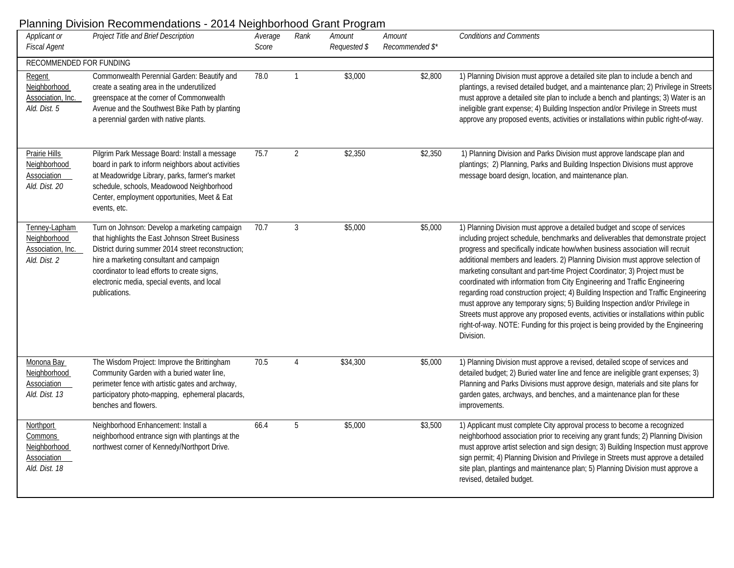## Planning Division Recommendations - 2014 Neighborhood Grant Program

| Applicant or<br><b>Fiscal Agent</b>                                  | $-0.11100$<br>Project Title and Brief Description                                                                                                                                                                                                                                                                   | Average<br>Score | Rank           | Amount<br>Requested \$ | Amount<br>Recommended \$* | <b>Conditions and Comments</b>                                                                                                                                                                                                                                                                                                                                                                                                                                                                                                                                                                                                                                                                                                                                                                                                                               |  |  |  |
|----------------------------------------------------------------------|---------------------------------------------------------------------------------------------------------------------------------------------------------------------------------------------------------------------------------------------------------------------------------------------------------------------|------------------|----------------|------------------------|---------------------------|--------------------------------------------------------------------------------------------------------------------------------------------------------------------------------------------------------------------------------------------------------------------------------------------------------------------------------------------------------------------------------------------------------------------------------------------------------------------------------------------------------------------------------------------------------------------------------------------------------------------------------------------------------------------------------------------------------------------------------------------------------------------------------------------------------------------------------------------------------------|--|--|--|
| RECOMMENDED FOR FUNDING                                              |                                                                                                                                                                                                                                                                                                                     |                  |                |                        |                           |                                                                                                                                                                                                                                                                                                                                                                                                                                                                                                                                                                                                                                                                                                                                                                                                                                                              |  |  |  |
| Regent<br>Neighborhood<br>Association, Inc.<br>Ald. Dist. 5          | Commonwealth Perennial Garden: Beautify and<br>create a seating area in the underutilized<br>greenspace at the corner of Commonwealth<br>Avenue and the Southwest Bike Path by planting<br>a perennial garden with native plants.                                                                                   | 78.0             | $\mathbf{1}$   | \$3,000                | \$2,800                   | 1) Planning Division must approve a detailed site plan to include a bench and<br>plantings, a revised detailed budget, and a maintenance plan; 2) Privilege in Streets<br>must approve a detailed site plan to include a bench and plantings; 3) Water is an<br>ineligible grant expense; 4) Building Inspection and/or Privilege in Streets must<br>approve any proposed events, activities or installations within public right-of-way.                                                                                                                                                                                                                                                                                                                                                                                                                    |  |  |  |
| Prairie Hills<br>Neighborhood<br><b>Association</b><br>Ald. Dist. 20 | Pilgrim Park Message Board: Install a message<br>board in park to inform neighbors about activities<br>at Meadowridge Library, parks, farmer's market<br>schedule, schools, Meadowood Neighborhood<br>Center, employment opportunities, Meet & Eat<br>events, etc.                                                  | 75.7             | $\overline{2}$ | \$2,350                | \$2,350                   | 1) Planning Division and Parks Division must approve landscape plan and<br>plantings; 2) Planning, Parks and Building Inspection Divisions must approve<br>message board design, location, and maintenance plan.                                                                                                                                                                                                                                                                                                                                                                                                                                                                                                                                                                                                                                             |  |  |  |
| Tenney-Lapham<br>Neighborhood<br>Association, Inc.<br>Ald. Dist. 2   | Turn on Johnson: Develop a marketing campaign<br>that highlights the East Johnson Street Business<br>District during summer 2014 street reconstruction;<br>hire a marketing consultant and campaign<br>coordinator to lead efforts to create signs,<br>electronic media, special events, and local<br>publications. | 70.7             | 3              | \$5,000                | \$5,000                   | 1) Planning Division must approve a detailed budget and scope of services<br>including project schedule, benchmarks and deliverables that demonstrate project<br>progress and specifically indicate how/when business association will recruit<br>additional members and leaders. 2) Planning Division must approve selection of<br>marketing consultant and part-time Project Coordinator; 3) Project must be<br>coordinated with information from City Engineering and Traffic Engineering<br>regarding road construction project; 4) Building Inspection and Traffic Engineering<br>must approve any temporary signs; 5) Building Inspection and/or Privilege in<br>Streets must approve any proposed events, activities or installations within public<br>right-of-way. NOTE: Funding for this project is being provided by the Engineering<br>Division. |  |  |  |
| Monona Bay<br>Neighborhood<br><b>Association</b><br>Ald. Dist. 13    | The Wisdom Project: Improve the Brittingham<br>Community Garden with a buried water line,<br>perimeter fence with artistic gates and archway,<br>participatory photo-mapping, ephemeral placards,<br>benches and flowers.                                                                                           | 70.5             | 4              | \$34,300               | \$5,000                   | 1) Planning Division must approve a revised, detailed scope of services and<br>detailed budget; 2) Buried water line and fence are ineligible grant expenses; 3)<br>Planning and Parks Divisions must approve design, materials and site plans for<br>garden gates, archways, and benches, and a maintenance plan for these<br>improvements.                                                                                                                                                                                                                                                                                                                                                                                                                                                                                                                 |  |  |  |
| Northport<br>Commons<br>Neighborhood<br>Association<br>Ald. Dist. 18 | Neighborhood Enhancement: Install a<br>neighborhood entrance sign with plantings at the<br>northwest corner of Kennedy/Northport Drive.                                                                                                                                                                             | 66.4             | 5              | \$5,000                | \$3,500                   | 1) Applicant must complete City approval process to become a recognized<br>neighborhood association prior to receiving any grant funds; 2) Planning Division<br>must approve artist selection and sign design; 3) Building Inspection must approve<br>sign permit; 4) Planning Division and Privilege in Streets must approve a detailed<br>site plan, plantings and maintenance plan; 5) Planning Division must approve a<br>revised, detailed budget.                                                                                                                                                                                                                                                                                                                                                                                                      |  |  |  |